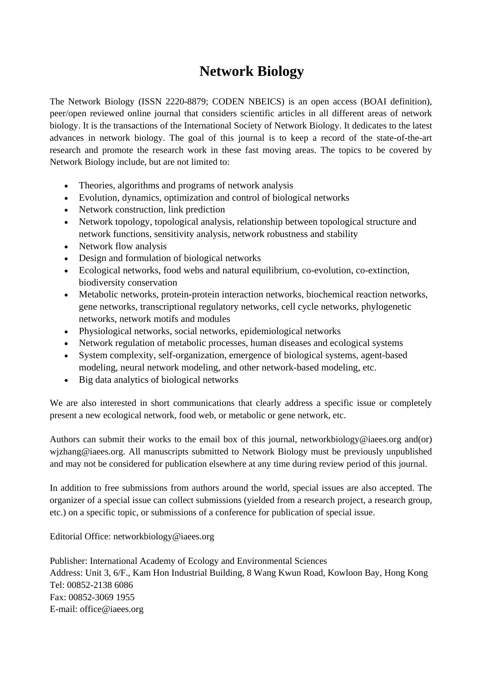## **Network Biology**

The Network Biology (ISSN 2220-8879; CODEN NBEICS) is an open access (BOAI definition), peer/open reviewed online journal that considers scientific articles in all different areas of network biology. It is the transactions of the International Society of Network Biology. It dedicates to the latest advances in network biology. The goal of this journal is to keep a record of the state-of-the-art research and promote the research work in these fast moving areas. The topics to be covered by Network Biology include, but are not limited to:

- Theories, algorithms and programs of network analysis
- Evolution, dynamics, optimization and control of biological networks
- Network construction, link prediction
- Network topology, topological analysis, relationship between topological structure and network functions, sensitivity analysis, network robustness and stability
- Network flow analysis
- Design and formulation of biological networks
- Ecological networks, food webs and natural equilibrium, co-evolution, co-extinction, biodiversity conservation
- Metabolic networks, protein-protein interaction networks, biochemical reaction networks, gene networks, transcriptional regulatory networks, cell cycle networks, phylogenetic networks, network motifs and modules
- Physiological networks, social networks, epidemiological networks
- Network regulation of metabolic processes, human diseases and ecological systems
- System complexity, self-organization, emergence of biological systems, agent-based modeling, neural network modeling, and other network-based modeling, etc.
- Big data analytics of biological networks

We are also interested in short communications that clearly address a specific issue or completely present a new ecological network, food web, or metabolic or gene network, etc.

Authors can submit their works to the email box of this journal, networkbiology@iaees.org and(or) wjzhang@iaees.org. All manuscripts submitted to Network Biology must be previously unpublished and may not be considered for publication elsewhere at any time during review period of this journal.

In addition to free submissions from authors around the world, special issues are also accepted. The organizer of a special issue can collect submissions (yielded from a research project, a research group, etc.) on a specific topic, or submissions of a conference for publication of special issue.

Editorial Office: networkbiology@iaees.org

Publisher: International Academy of Ecology and Environmental Sciences Address: Unit 3, 6/F., Kam Hon Industrial Building, 8 Wang Kwun Road, Kowloon Bay, Hong Kong Tel: 00852-2138 6086 Fax: 00852-3069 1955 E-mail: office@iaees.org